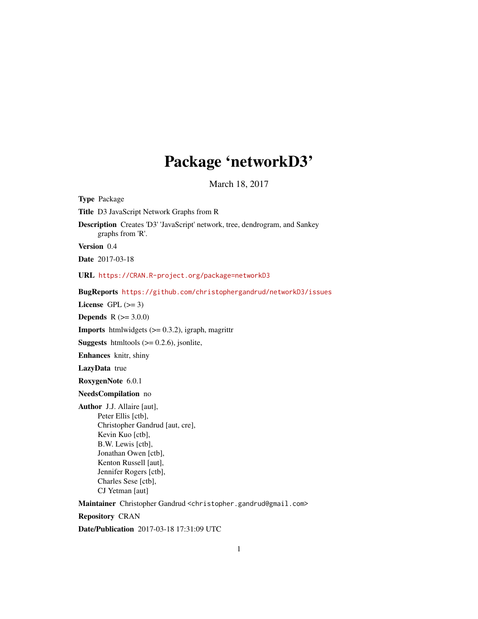# Package 'networkD3'

March 18, 2017

<span id="page-0-0"></span>

| <b>Type Package</b>                                                                                                                                                                                                                                      |
|----------------------------------------------------------------------------------------------------------------------------------------------------------------------------------------------------------------------------------------------------------|
| Title D3 JavaScript Network Graphs from R                                                                                                                                                                                                                |
| Description Creates 'D3' 'JavaScript' network, tree, dendrogram, and Sankey<br>graphs from 'R'.                                                                                                                                                          |
| Version 0.4                                                                                                                                                                                                                                              |
| <b>Date</b> 2017-03-18                                                                                                                                                                                                                                   |
| URL https://CRAN.R-project.org/package=networkD3                                                                                                                                                                                                         |
| BugReports https://github.com/christophergandrud/networkD3/issues                                                                                                                                                                                        |
| License GPL $(>= 3)$                                                                                                                                                                                                                                     |
| <b>Depends</b> $R (= 3.0.0)$                                                                                                                                                                                                                             |
| <b>Imports</b> htmlwidgets $(>= 0.3.2)$ , igraph, magrittr                                                                                                                                                                                               |
| <b>Suggests</b> htmltools $(>= 0.2.6)$ , jsonlite,                                                                                                                                                                                                       |
| Enhances knitr, shiny                                                                                                                                                                                                                                    |
| LazyData true                                                                                                                                                                                                                                            |
| RoxygenNote 6.0.1                                                                                                                                                                                                                                        |
| NeedsCompilation no                                                                                                                                                                                                                                      |
| <b>Author</b> J.J. Allaire [aut],<br>Peter Ellis [ctb],<br>Christopher Gandrud [aut, cre],<br>Kevin Kuo [ctb],<br>B.W. Lewis [ctb],<br>Jonathan Owen [ctb],<br>Kenton Russell [aut],<br>Jennifer Rogers [ctb],<br>Charles Sese [ctb],<br>CJ Yetman [aut] |
| Maintainer Christopher Gandrud <christopher.gandrud@gmail.com></christopher.gandrud@gmail.com>                                                                                                                                                           |
| <b>Repository CRAN</b>                                                                                                                                                                                                                                   |

Date/Publication 2017-03-18 17:31:09 UTC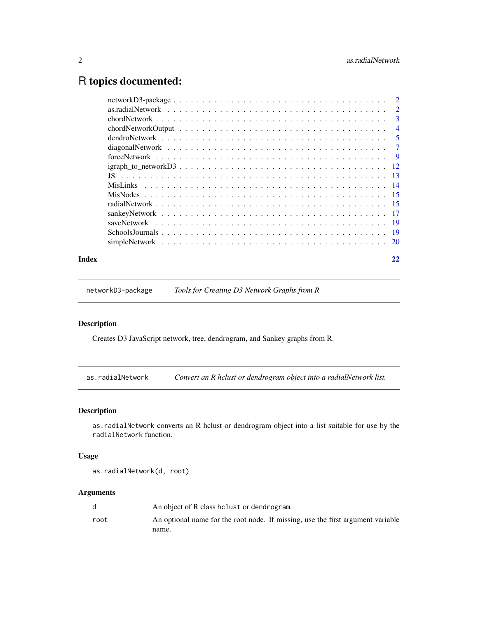## <span id="page-1-0"></span>R topics documented:

| $\mathcal{D}$              |
|----------------------------|
| $\overline{3}$             |
| $\overline{4}$             |
| $\overline{\phantom{0}}$ 5 |
| $\overline{7}$             |
|                            |
|                            |
|                            |
|                            |
|                            |
|                            |
|                            |
|                            |
|                            |
|                            |
|                            |

#### **Index** [22](#page-21-0)

networkD3-package *Tools for Creating D3 Network Graphs from R*

## Description

Creates D3 JavaScript network, tree, dendrogram, and Sankey graphs from R.

as.radialNetwork *Convert an R hclust or dendrogram object into a radialNetwork list.*

## Description

as.radialNetwork converts an R hclust or dendrogram object into a list suitable for use by the radialNetwork function.

## Usage

as.radialNetwork(d, root)

|      | An object of R class helust or dendrogram.                                      |
|------|---------------------------------------------------------------------------------|
| root | An optional name for the root node. If missing, use the first argument variable |
|      | name.                                                                           |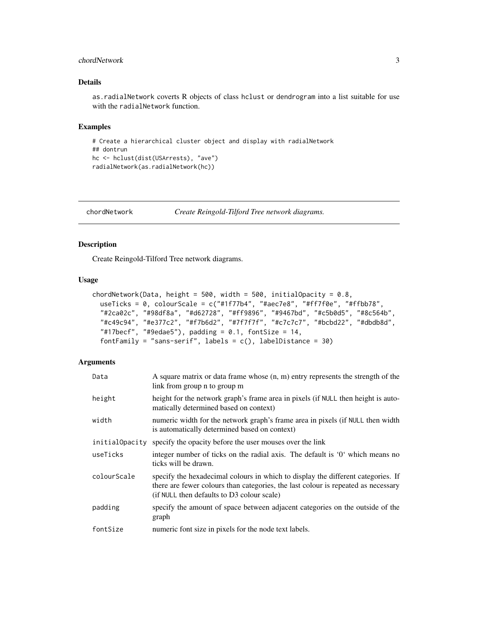## <span id="page-2-0"></span>chordNetwork 3

#### Details

as.radialNetwork coverts R objects of class hclust or dendrogram into a list suitable for use with the radialNetwork function.

#### Examples

```
# Create a hierarchical cluster object and display with radialNetwork
## dontrun
hc <- hclust(dist(USArrests), "ave")
radialNetwork(as.radialNetwork(hc))
```
chordNetwork *Create Reingold-Tilford Tree network diagrams.*

## Description

Create Reingold-Tilford Tree network diagrams.

#### Usage

```
chordNetwork(Data, height = 500, width = 500, initialOpacity = 0.8,
  useTicks = 0, colourScale = c("#1f77b4", "#aec7e8", "#ff7f0e", "#ffbb78",
  "#2ca02c", "#98df8a", "#d62728", "#ff9896", "#9467bd", "#c5b0d5", "#8c564b",
  "#c49c94", "#e377c2", "#f7b6d2", "#7f7f7f", "#c7c7c7", "#bcbd22", "#dbdb8d",
  "#17becf", "#9edae5"), padding = 0.1, fontSize = 14,
  fontFamily = "sans-serif", labels = c(), labelDistance = 30)
```

| Data           | A square matrix or data frame whose $(n, m)$ entry represents the strength of the<br>link from group n to group m                                                                                                   |
|----------------|---------------------------------------------------------------------------------------------------------------------------------------------------------------------------------------------------------------------|
| height         | height for the network graph's frame area in pixels (if NULL then height is auto-<br>matically determined based on context)                                                                                         |
| width          | numeric width for the network graph's frame area in pixels (if NULL then width<br>is automatically determined based on context)                                                                                     |
| initialOpacity | specify the opacity before the user mouses over the link                                                                                                                                                            |
| useTicks       | integer number of ticks on the radial axis. The default is '0' which means no<br>ticks will be drawn.                                                                                                               |
| colourScale    | specify the hexadecimal colours in which to display the different categories. If<br>there are fewer colours than categories, the last colour is repeated as necessary<br>(if NULL then defaults to D3 colour scale) |
| padding        | specify the amount of space between adjacent categories on the outside of the<br>graph                                                                                                                              |
| fontSize       | numeric font size in pixels for the node text labels.                                                                                                                                                               |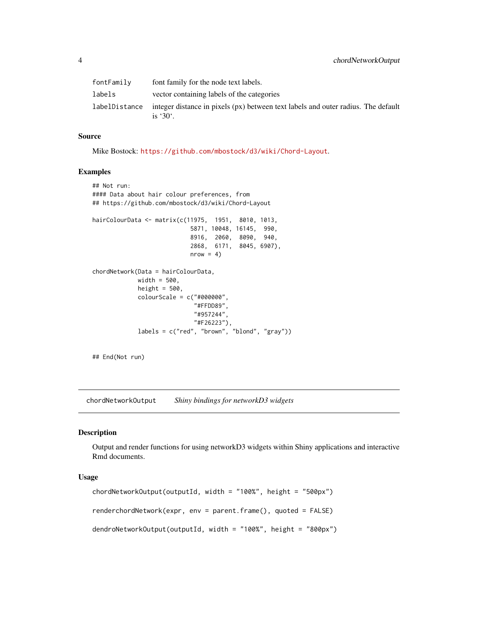<span id="page-3-0"></span>

| fontFamily | font family for the node text labels.                                                                                  |
|------------|------------------------------------------------------------------------------------------------------------------------|
| labels     | vector containing labels of the categories                                                                             |
|            | labelDistance integer distance in pixels ( $px$ ) between text labels and outer radius. The default<br>is $30^\circ$ . |

Mike Bostock: <https://github.com/mbostock/d3/wiki/Chord-Layout>.

#### Examples

```
## Not run:
#### Data about hair colour preferences, from
## https://github.com/mbostock/d3/wiki/Chord-Layout
hairColourData <- matrix(c(11975, 1951, 8010, 1013,
                           5871, 10048, 16145, 990,
                           8916, 2060, 8090, 940,
                           2868, 6171, 8045, 6907),
                           nrow = 4chordNetwork(Data = hairColourData,
            width = 500,
            height = 500,
            colourScale = c("#000000",
                             "#FFDD89",
                            "#957244",
                            "#F26223"),
            labels = c("red", "brown", "blond", "gray"))
```
## End(Not run)

chordNetworkOutput *Shiny bindings for networkD3 widgets*

#### Description

Output and render functions for using networkD3 widgets within Shiny applications and interactive Rmd documents.

## Usage

```
chordNetworkOutput(outputId, width = "100%", height = "500px")
renderchordNetwork(expr, env = parent.frame(), quoted = FALSE)
dendroNetworkOutput(outputId, width = "100%", height = "800px")
```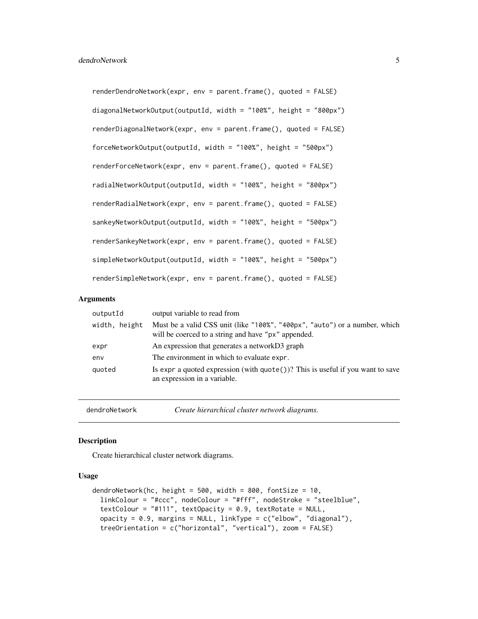<span id="page-4-0"></span>renderDendroNetwork(expr, env = parent.frame(), quoted = FALSE) diagonalNetworkOutput(outputId, width = "100%", height = "800px") renderDiagonalNetwork(expr, env = parent.frame(), quoted = FALSE) forceNetworkOutput(outputId, width = "100%", height = "500px") renderForceNetwork(expr, env = parent.frame(), quoted = FALSE) radialNetworkOutput(outputId, width = "100%", height = "800px") renderRadialNetwork(expr, env = parent.frame(), quoted = FALSE) sankeyNetworkOutput(outputId, width = "100%", height = "500px") renderSankeyNetwork(expr, env = parent.frame(), quoted = FALSE) simpleNetworkOutput(outputId, width = "100%", height = "500px") renderSimpleNetwork(expr, env = parent.frame(), quoted = FALSE)

#### Arguments

| outputId      | output variable to read from                                                                                                      |
|---------------|-----------------------------------------------------------------------------------------------------------------------------------|
| width, height | Must be a valid CSS unit (like "100%", "400px", "auto") or a number, which<br>will be coerced to a string and have "px" appended. |
| expr          | An expression that generates a networkD3 graph                                                                                    |
| env           | The environment in which to evaluate expr.                                                                                        |
| quoted        | Is expr a quoted expression (with $\text{quote}()$ )? This is useful if you want to save<br>an expression in a variable.          |

dendroNetwork *Create hierarchical cluster network diagrams.*

#### **Description**

Create hierarchical cluster network diagrams.

## Usage

```
dendroNetwork(hc, height = 500, width = 800, fontSize = 10,
  linkColour = "#ccc", nodeColour = "#fff", nodeStroke = "steelblue",
 textColour = "#111", textOpacity = 0.9, textRotate = NULL,
  opacity = 0.9, margins = NULL, linkType = c("elbow", "diagonal"),treeOrientation = c("horizontal", "vertical"), zoom = FALSE)
```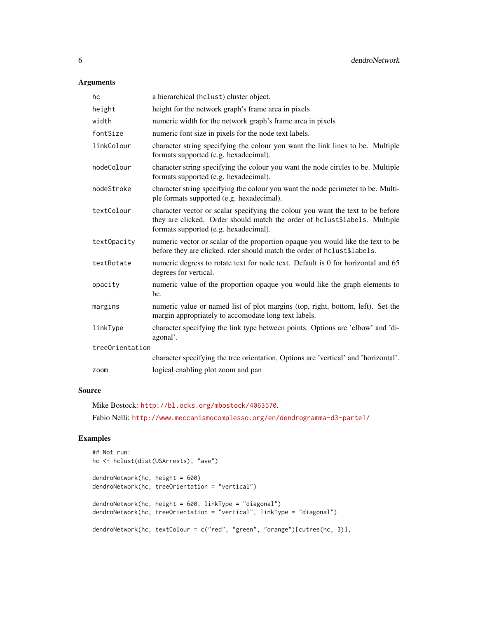## Arguments

| hc              | a hierarchical (hclust) cluster object.                                                                                                                                                                |
|-----------------|--------------------------------------------------------------------------------------------------------------------------------------------------------------------------------------------------------|
| height          | height for the network graph's frame area in pixels                                                                                                                                                    |
| width           | numeric width for the network graph's frame area in pixels                                                                                                                                             |
| fontSize        | numeric font size in pixels for the node text labels.                                                                                                                                                  |
| linkColour      | character string specifying the colour you want the link lines to be. Multiple<br>formats supported (e.g. hexadecimal).                                                                                |
| nodeColour      | character string specifying the colour you want the node circles to be. Multiple<br>formats supported (e.g. hexadecimal).                                                                              |
| nodeStroke      | character string specifying the colour you want the node perimeter to be. Multi-<br>ple formats supported (e.g. hexadecimal).                                                                          |
| textColour      | character vector or scalar specifying the colour you want the text to be before<br>they are clicked. Order should match the order of hclust\$labels. Multiple<br>formats supported (e.g. hexadecimal). |
| textOpacity     | numeric vector or scalar of the proportion opaque you would like the text to be<br>before they are clicked. rder should match the order of hclust\$labels.                                             |
| textRotate      | numeric degress to rotate text for node text. Default is 0 for horizontal and 65<br>degrees for vertical.                                                                                              |
| opacity         | numeric value of the proportion opaque you would like the graph elements to<br>be.                                                                                                                     |
| margins         | numeric value or named list of plot margins (top, right, bottom, left). Set the<br>margin appropriately to accomodate long text labels.                                                                |
| linkType        | character specifying the link type between points. Options are 'elbow' and 'di-<br>agonal'.                                                                                                            |
| treeOrientation |                                                                                                                                                                                                        |
|                 | character specifying the tree orientation, Options are 'vertical' and 'horizontal'.                                                                                                                    |
| zoom            | logical enabling plot zoom and pan                                                                                                                                                                     |

## Source

Mike Bostock: <http://bl.ocks.org/mbostock/4063570>.

Fabio Nelli: <http://www.meccanismocomplesso.org/en/dendrogramma-d3-parte1/>

```
## Not run:
hc <- hclust(dist(USArrests), "ave")
dendroNetwork(hc, height = 600)
dendroNetwork(hc, treeOrientation = "vertical")
dendroNetwork(hc, height = 600, linkType = "diagonal")
dendroNetwork(hc, treeOrientation = "vertical", linkType = "diagonal")
dendroNetwork(hc, textColour = c("red", "green", "orange")[cutree(hc, 3)],
```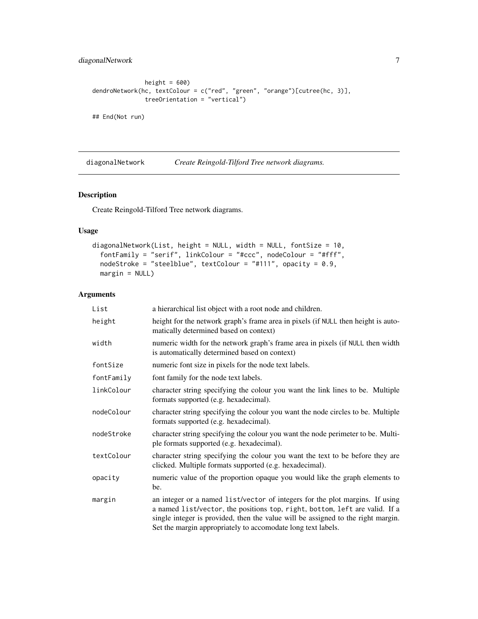## <span id="page-6-0"></span>diagonalNetwork 7

```
height = 600)
dendroNetwork(hc, textColour = c("red", "green", "orange")[cutree(hc, 3)],
              treeOrientation = "vertical")
```
## End(Not run)

diagonalNetwork *Create Reingold-Tilford Tree network diagrams.*

## Description

Create Reingold-Tilford Tree network diagrams.

#### Usage

```
diagonalNetwork(List, height = NULL, width = NULL, fontSize = 10,
  fontFamily = "serif", linkColour = "#ccc", nodeColour = "#fff",
 nodeStroke = "steelblue", textColour = "#111", opacity = 0.9,
 margin = NULL)
```

| List       | a hierarchical list object with a root node and children.                                                                                                                                                                                                                                                       |
|------------|-----------------------------------------------------------------------------------------------------------------------------------------------------------------------------------------------------------------------------------------------------------------------------------------------------------------|
| height     | height for the network graph's frame area in pixels (if NULL then height is auto-<br>matically determined based on context)                                                                                                                                                                                     |
| width      | numeric width for the network graph's frame area in pixels (if NULL then width<br>is automatically determined based on context)                                                                                                                                                                                 |
| fontSize   | numeric font size in pixels for the node text labels.                                                                                                                                                                                                                                                           |
| fontFamily | font family for the node text labels.                                                                                                                                                                                                                                                                           |
| linkColour | character string specifying the colour you want the link lines to be. Multiple<br>formats supported (e.g. hexadecimal).                                                                                                                                                                                         |
| nodeColour | character string specifying the colour you want the node circles to be. Multiple<br>formats supported (e.g. hexadecimal).                                                                                                                                                                                       |
| nodeStroke | character string specifying the colour you want the node perimeter to be. Multi-<br>ple formats supported (e.g. hexadecimal).                                                                                                                                                                                   |
| textColour | character string specifying the colour you want the text to be before they are<br>clicked. Multiple formats supported (e.g. hexadecimal).                                                                                                                                                                       |
| opacity    | numeric value of the proportion opaque you would like the graph elements to<br>be.                                                                                                                                                                                                                              |
| margin     | an integer or a named list/vector of integers for the plot margins. If using<br>a named list/vector, the positions top, right, bottom, left are valid. If a<br>single integer is provided, then the value will be assigned to the right margin.<br>Set the margin appropriately to accomodate long text labels. |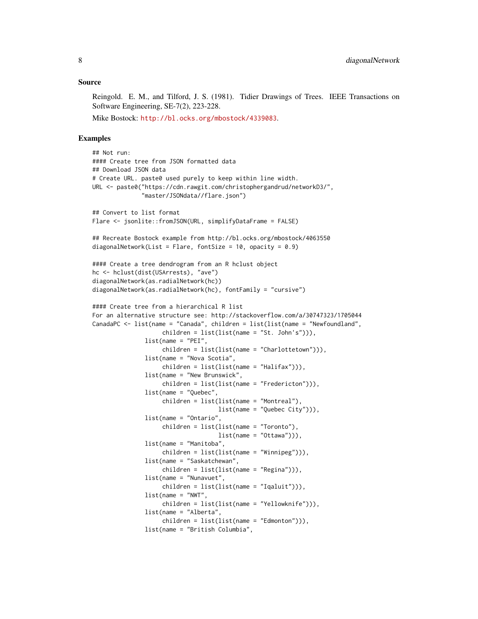Reingold. E. M., and Tilford, J. S. (1981). Tidier Drawings of Trees. IEEE Transactions on Software Engineering, SE-7(2), 223-228.

Mike Bostock: <http://bl.ocks.org/mbostock/4339083>.

```
## Not run:
#### Create tree from JSON formatted data
## Download JSON data
# Create URL. paste0 used purely to keep within line width.
URL <- paste0("https://cdn.rawgit.com/christophergandrud/networkD3/",
              "master/JSONdata//flare.json")
## Convert to list format
Flare <- jsonlite::fromJSON(URL, simplifyDataFrame = FALSE)
## Recreate Bostock example from http://bl.ocks.org/mbostock/4063550
diagonalNetwork(List = Flare, fontSize = 10, opacity = 0.9)
#### Create a tree dendrogram from an R hclust object
hc <- hclust(dist(USArrests), "ave")
diagonalNetwork(as.radialNetwork(hc))
diagonalNetwork(as.radialNetwork(hc), fontFamily = "cursive")
#### Create tree from a hierarchical R list
For an alternative structure see: http://stackoverflow.com/a/30747323/1705044
CanadaPC \leq list(name = "Canada", children = list(list(name = "Newfoundland",
                    children = list(list(name = "St. John's"))),
               list(name = "PEI",
                    children = list(list(name = "Charlottetown"))),
               list(name = "Nova Scotia",
                    children = list(list(name = "Halifax"))),
               list(name = "New Brunswick",
                    children = list(list(name = "Fredericton"))),
               list(name = "Quebec",
                    children = list(list(name = "Montreal"),
                                    list(name = "Quebec City"))),
               list(name = "Ontario",
                    children = list(list(name = "Toronto"),
                                    list(name = "Ottawa")),
               list(name = "Manitoba",
                    children = list(list(name = "Winnipeg"))),
               list(name = "Saskatchewan",
                    children = list(list(name = "Regina"))),
               list(name = "Nunavuet",
                    children = list(list(name = "Iqaluit"))),
               list(name = "NWT",
                    children = list(list(name = "Yellowknife"))),
               list(name = "Alberta",
                    children = list(list(name = "Edmonton"))),
               list(name = "British Columbia",
```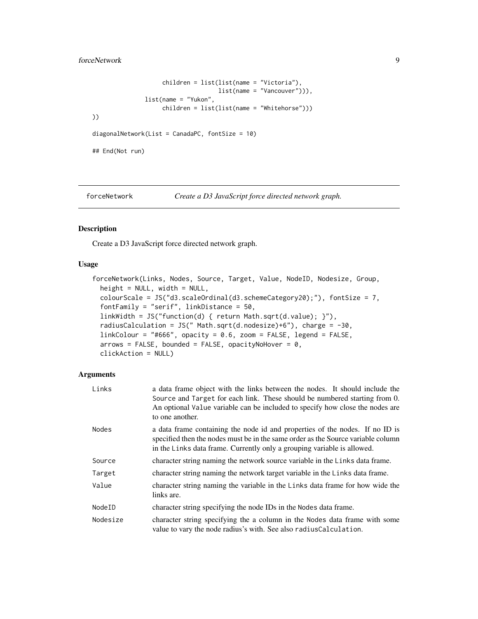## <span id="page-8-0"></span>forceNetwork 9

```
children = list(list(name = "Victoria"),
                                    list(name = "Vancouver"))),
               list(name = "Yukon",
                    children = list(list(name = "Whitehorse")))
))
diagonalNetwork(List = CanadaPC, fontSize = 10)
## End(Not run)
```
forceNetwork *Create a D3 JavaScript force directed network graph.*

#### Description

Create a D3 JavaScript force directed network graph.

#### Usage

```
forceNetwork(Links, Nodes, Source, Target, Value, NodeID, Nodesize, Group,
 height = NULL, width = NULL,
 colourScale = JS("d3.scaleOrdinal(d3.schemeCategory20);"), fontSize = 7,
  fontFamily = "serif", linkDistance = 50,
  linkWidth = JS("function(d) { return Math.sqrt(d.value); }"),
 radiusCalculation = JS(" Math.sqrt(d.nodesize)+6"), charge = -30,
  linkColour = "#666", opacity = 0.6, zoom = FALSE, legend = FALSE,
  arrows = FALSE, bounded = FALSE, opacityNoHowever = 0,clickAction = NULL)
```

| Links    | a data frame object with the links between the nodes. It should include the<br>Source and Target for each link. These should be numbered starting from 0.<br>An optional Value variable can be included to specify how close the nodes are<br>to one another. |
|----------|---------------------------------------------------------------------------------------------------------------------------------------------------------------------------------------------------------------------------------------------------------------|
| Nodes    | a data frame containing the node id and properties of the nodes. If no ID is<br>specified then the nodes must be in the same order as the Source variable column<br>in the Links data frame. Currently only a grouping variable is allowed.                   |
| Source   | character string naming the network source variable in the Links data frame.                                                                                                                                                                                  |
| Target   | character string naming the network target variable in the Links data frame.                                                                                                                                                                                  |
| Value    | character string naming the variable in the Links data frame for how wide the<br>links are.                                                                                                                                                                   |
| NodeID   | character string specifying the node IDs in the Nodes data frame.                                                                                                                                                                                             |
| Nodesize | character string specifying the a column in the Nodes data frame with some<br>value to vary the node radius's with. See also radiusCalculation.                                                                                                               |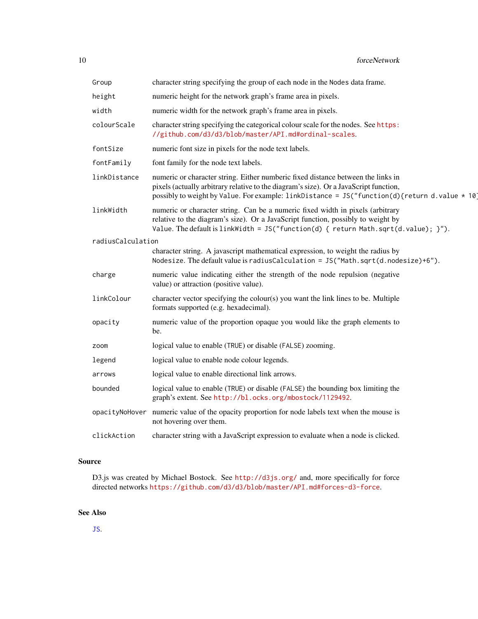<span id="page-9-0"></span>

| Group             | character string specifying the group of each node in the Nodes data frame.                                                                                                                                                                                                |
|-------------------|----------------------------------------------------------------------------------------------------------------------------------------------------------------------------------------------------------------------------------------------------------------------------|
| height            | numeric height for the network graph's frame area in pixels.                                                                                                                                                                                                               |
| width             | numeric width for the network graph's frame area in pixels.                                                                                                                                                                                                                |
| colourScale       | character string specifying the categorical colour scale for the nodes. See https:<br>//github.com/d3/d3/blob/master/API.md#ordinal-scales.                                                                                                                                |
| fontSize          | numeric font size in pixels for the node text labels.                                                                                                                                                                                                                      |
| fontFamily        | font family for the node text labels.                                                                                                                                                                                                                                      |
| linkDistance      | numeric or character string. Either numberic fixed distance between the links in<br>pixels (actually arbitrary relative to the diagram's size). Or a JavaScript function,<br>possibly to weight by Value. For example: linkDistance = JS("function(d){return d.value * 10] |
| linkWidth         | numeric or character string. Can be a numeric fixed width in pixels (arbitrary<br>relative to the diagram's size). Or a JavaScript function, possibly to weight by<br>Value. The default is linkWidth = $JS("function(d) { return Math.sqrt(d.value); } )'.$               |
| radiusCalculation |                                                                                                                                                                                                                                                                            |
|                   | character string. A javascript mathematical expression, to weight the radius by<br>Nodesize. The default value is radiusCalculation = $JS("Math.sqrt(d.nodesize)+6")$ .                                                                                                    |
| charge            | numeric value indicating either the strength of the node repulsion (negative<br>value) or attraction (positive value).                                                                                                                                                     |
| linkColour        | character vector specifying the colour(s) you want the link lines to be. Multiple<br>formats supported (e.g. hexadecimal).                                                                                                                                                 |
| opacity           | numeric value of the proportion opaque you would like the graph elements to<br>be.                                                                                                                                                                                         |
| zoom              | logical value to enable (TRUE) or disable (FALSE) zooming.                                                                                                                                                                                                                 |
| legend            | logical value to enable node colour legends.                                                                                                                                                                                                                               |
| arrows            | logical value to enable directional link arrows.                                                                                                                                                                                                                           |
| bounded           | logical value to enable (TRUE) or disable (FALSE) the bounding box limiting the<br>graph's extent. See http://bl.ocks.org/mbostock/1129492.                                                                                                                                |
|                   | opacityNoHover numeric value of the opacity proportion for node labels text when the mouse is<br>not hovering over them.                                                                                                                                                   |
| clickAction       | character string with a JavaScript expression to evaluate when a node is clicked.                                                                                                                                                                                          |

D3.js was created by Michael Bostock. See <http://d3js.org/> and, more specifically for force directed networks <https://github.com/d3/d3/blob/master/API.md#forces-d3-force>.

## See Also

[JS](#page-12-1).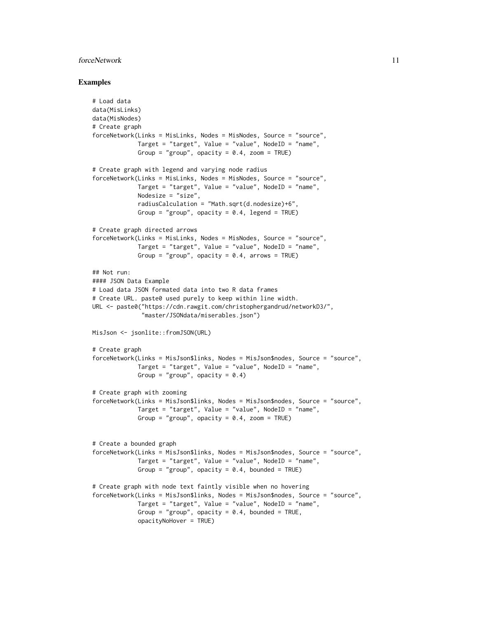#### forceNetwork 11

```
# Load data
data(MisLinks)
data(MisNodes)
# Create graph
forceNetwork(Links = MisLinks, Nodes = MisNodes, Source = "source",
             Target = "target", Value = "value", NodeID = "name",
             Group = "group", opacity = 0.4, zoom = TRUE)
# Create graph with legend and varying node radius
forceNetwork(Links = MisLinks, Nodes = MisNodes, Source = "source",
             Target = "target", Value = "value", NodeID = "name",
             Nodesize = "size",
             radiusCalculation = "Math.sqrt(d.nodesize)+6",
             Group = "group", opacity = 0.4, legend = TRUE)
# Create graph directed arrows
forceNetwork(Links = MisLinks, Nodes = MisNodes, Source = "source",
             Target = "target", Value = "value", NodeID = "name",
             Group = "group", opacity = 0.4, arrows = TRUE)
## Not run:
#### JSON Data Example
# Load data JSON formated data into two R data frames
# Create URL. paste0 used purely to keep within line width.
URL <- paste0("https://cdn.rawgit.com/christophergandrud/networkD3/",
              "master/JSONdata/miserables.json")
MisJson <- jsonlite::fromJSON(URL)
# Create graph
forceNetwork(Links = MisJson$links, Nodes = MisJson$nodes, Source = "source",
             Target = "target", Value = "value", NodeID = "name",
             Group = "group", opacity = 0.4)
# Create graph with zooming
forceNetwork(Links = MisJson$links, Nodes = MisJson$nodes, Source = "source",
             Target = "target", Value = "value", NodeID = "name",
             Group = "group", opacity = 0.4, zoom = TRUE)
# Create a bounded graph
forceNetwork(Links = MisJson$links, Nodes = MisJson$nodes, Source = "source",
             Target = "target", Value = "value", NodeID = "name",
             Group = "group", opacity = 0.4, bounded = TRUE)
# Create graph with node text faintly visible when no hovering
forceNetwork(Links = MisJson$links, Nodes = MisJson$nodes, Source = "source",
             Target = "target", Value = "value", NodeID = "name",
             Group = "group", opacity = 0.4, bounded = TRUE,
             opacityNoHover = TRUE)
```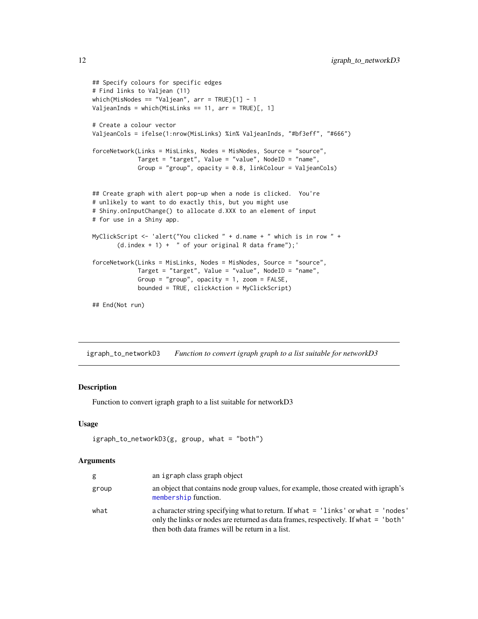```
## Specify colours for specific edges
# Find links to Valjean (11)
which(MisNodes == "Valjean", arr = TRUE)[1] - 1
ValjeanInds = which(MisLinks == 11, arr = TRUE)[, 1]
# Create a colour vector
ValjeanCols = ifelse(1:nrow(MisLinks) %in% ValjeanInds, "#bf3eff", "#666")
forceNetwork(Links = MisLinks, Nodes = MisNodes, Source = "source",
             Target = "target", Value = "value", NodeID = "name",
             Group = "group", opacity = 0.8, linkColour = ValjeanCols)
## Create graph with alert pop-up when a node is clicked. You're
# unlikely to want to do exactly this, but you might use
# Shiny.onInputChange() to allocate d.XXX to an element of input
# for use in a Shiny app.
MyClickScript <- 'alert("You clicked " + d.name + " which is in row " +
       (d.index + 1) + " of your original R data frame");'forceNetwork(Links = MisLinks, Nodes = MisNodes, Source = "source",
             Target = "target", Value = "value", NodeID = "name",
             Group = "group", opacity = 1, zoom = FALSE,
             bounded = TRUE, clickAction = MyClickScript)
```
## End(Not run)

igraph\_to\_networkD3 *Function to convert igraph graph to a list suitable for networkD3*

## Description

Function to convert igraph graph to a list suitable for networkD3

#### Usage

```
igraph_to_networkD3(g, group, what = "both")
```

| g     | an igraph class graph object                                                                                                                                                                                                    |
|-------|---------------------------------------------------------------------------------------------------------------------------------------------------------------------------------------------------------------------------------|
| group | an object that contains node group values, for example, those created with igraph's<br>membership function.                                                                                                                     |
| what  | a character string specifying what to return. If what $=$ 'links' or what $=$ 'nodes'<br>only the links or nodes are returned as data frames, respectively. If what = 'both'<br>then both data frames will be return in a list. |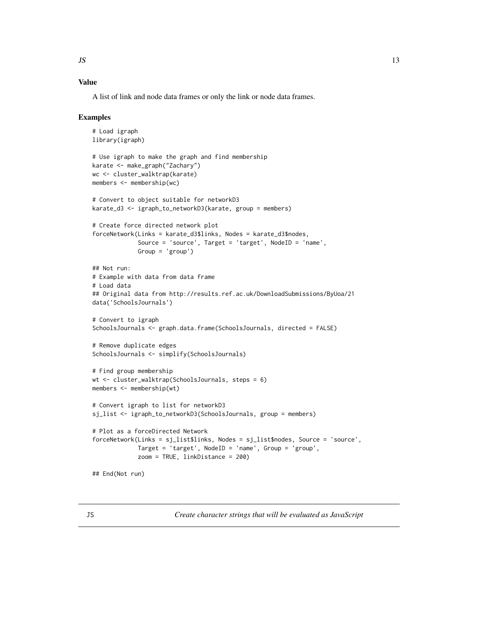## <span id="page-12-0"></span>Value

A list of link and node data frames or only the link or node data frames.

#### Examples

```
# Load igraph
library(igraph)
# Use igraph to make the graph and find membership
karate <- make_graph("Zachary")
wc <- cluster_walktrap(karate)
members <- membership(wc)
# Convert to object suitable for networkD3
karate_d3 <- igraph_to_networkD3(karate, group = members)
# Create force directed network plot
forceNetwork(Links = karate_d3$links, Nodes = karate_d3$nodes,
             Source = 'source', Target = 'target', NodeID = 'name',
             Group = 'group')
## Not run:
# Example with data from data frame
# Load data
## Original data from http://results.ref.ac.uk/DownloadSubmissions/ByUoa/21
data('SchoolsJournals')
# Convert to igraph
SchoolsJournals <- graph.data.frame(SchoolsJournals, directed = FALSE)
# Remove duplicate edges
SchoolsJournals <- simplify(SchoolsJournals)
# Find group membership
wt <- cluster_walktrap(SchoolsJournals, steps = 6)
members <- membership(wt)
# Convert igraph to list for networkD3
sj_list <- igraph_to_networkD3(SchoolsJournals, group = members)
# Plot as a forceDirected Network
forceNetwork(Links = sj_list$links, Nodes = sj_list$nodes, Source = 'source',
             Target = 'target', NodeID = 'name', Group = 'group',
             zoom = TRUE, linkDistance = 200)
## End(Not run)
```
<span id="page-12-1"></span>JS *Create character strings that will be evaluated as JavaScript*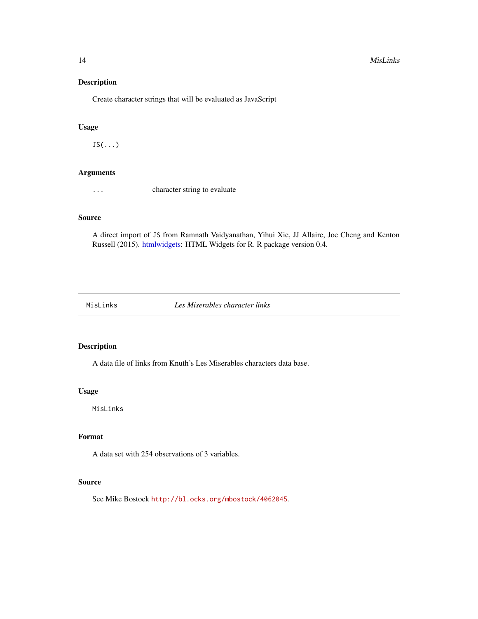#### <span id="page-13-0"></span>14 MisLinks

## Description

Create character strings that will be evaluated as JavaScript

#### Usage

JS(...)

## Arguments

... character string to evaluate

### Source

A direct import of JS from Ramnath Vaidyanathan, Yihui Xie, JJ Allaire, Joe Cheng and Kenton Russell (2015). [htmlwidgets:](#page-0-0) HTML Widgets for R. R package version 0.4.

MisLinks *Les Miserables character links*

## Description

A data file of links from Knuth's Les Miserables characters data base.

#### Usage

MisLinks

## Format

A data set with 254 observations of 3 variables.

## Source

See Mike Bostock <http://bl.ocks.org/mbostock/4062045>.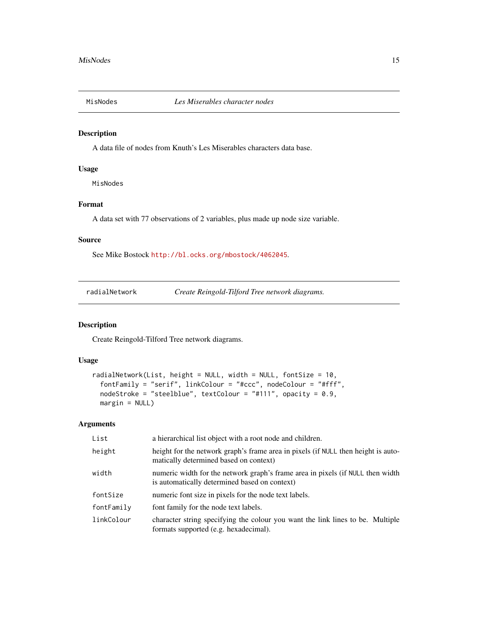<span id="page-14-0"></span>

## Description

A data file of nodes from Knuth's Les Miserables characters data base.

#### Usage

MisNodes

## Format

A data set with 77 observations of 2 variables, plus made up node size variable.

## Source

See Mike Bostock <http://bl.ocks.org/mbostock/4062045>.

radialNetwork *Create Reingold-Tilford Tree network diagrams.*

## Description

Create Reingold-Tilford Tree network diagrams.

## Usage

```
radialNetwork(List, height = NULL, width = NULL, fontSize = 10,
  fontFamily = "serif", linkColour = "#ccc", nodeColour = "#fff",
 nodeStroke = "steelblue", textColour = "#111", opacity = 0.9,
 margin = NULL)
```

| List       | a hierarchical list object with a root node and children.                                                                       |
|------------|---------------------------------------------------------------------------------------------------------------------------------|
| height     | height for the network graph's frame area in pixels (if NULL then height is auto-<br>matically determined based on context)     |
| width      | numeric width for the network graph's frame area in pixels (if NULL then width<br>is automatically determined based on context) |
| fontSize   | numeric font size in pixels for the node text labels.                                                                           |
| fontFamily | font family for the node text labels.                                                                                           |
| linkColour | character string specifying the colour you want the link lines to be. Multiple<br>formats supported (e.g. hexadecimal).         |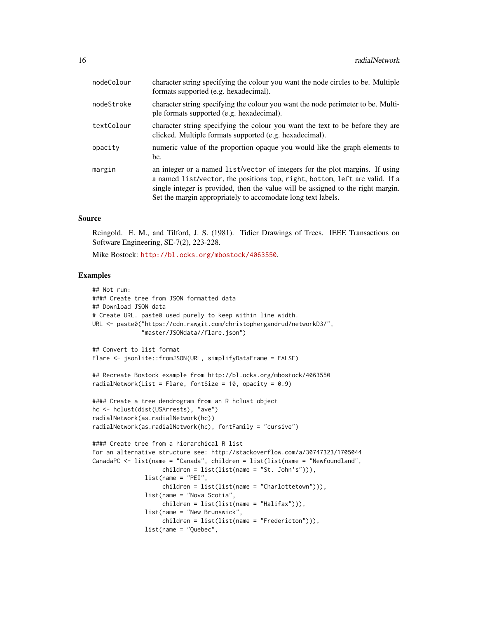| nodeColour | character string specifying the colour you want the node circles to be. Multiple<br>formats supported (e.g. hexadecimal).                                                                                                                                                                                       |
|------------|-----------------------------------------------------------------------------------------------------------------------------------------------------------------------------------------------------------------------------------------------------------------------------------------------------------------|
| nodeStroke | character string specifying the colour you want the node perimeter to be. Multi-<br>ple formats supported (e.g. hexadecimal).                                                                                                                                                                                   |
| textColour | character string specifying the colour you want the text to be before they are<br>clicked. Multiple formats supported (e.g. hexadecimal).                                                                                                                                                                       |
| opacity    | numeric value of the proportion opaque you would like the graph elements to<br>be.                                                                                                                                                                                                                              |
| margin     | an integer or a named list/vector of integers for the plot margins. If using<br>a named list/vector, the positions top, right, bottom, left are valid. If a<br>single integer is provided, then the value will be assigned to the right margin.<br>Set the margin appropriately to accomodate long text labels. |

Reingold. E. M., and Tilford, J. S. (1981). Tidier Drawings of Trees. IEEE Transactions on Software Engineering, SE-7(2), 223-228.

Mike Bostock: <http://bl.ocks.org/mbostock/4063550>.

```
## Not run:
#### Create tree from JSON formatted data
## Download JSON data
# Create URL. paste0 used purely to keep within line width.
URL <- paste0("https://cdn.rawgit.com/christophergandrud/networkD3/",
              "master/JSONdata//flare.json")
## Convert to list format
Flare <- jsonlite::fromJSON(URL, simplifyDataFrame = FALSE)
## Recreate Bostock example from http://bl.ocks.org/mbostock/4063550
radialNetwork(List = Flare, fontSize = 10, opacity = 0.9)
#### Create a tree dendrogram from an R hclust object
hc <- hclust(dist(USArrests), "ave")
radialNetwork(as.radialNetwork(hc))
radialNetwork(as.radialNetwork(hc), fontFamily = "cursive")
#### Create tree from a hierarchical R list
For an alternative structure see: http://stackoverflow.com/a/30747323/1705044
CanadaPC <- list(name = "Canada", children = list(list(name = "Newfoundland",
                    children = list(list(name = "St. John's"))),
               list(name = "PEI",
                    children = list(list(name = "Charlottetown"))),
               list(name = "Nova Scotia",
                    children = list(list(name = "Halifax"))),
               list(name = "New Brunswick",
                    children = list(list(name = "Fredericton"))),
               list(name = "Quebec",
```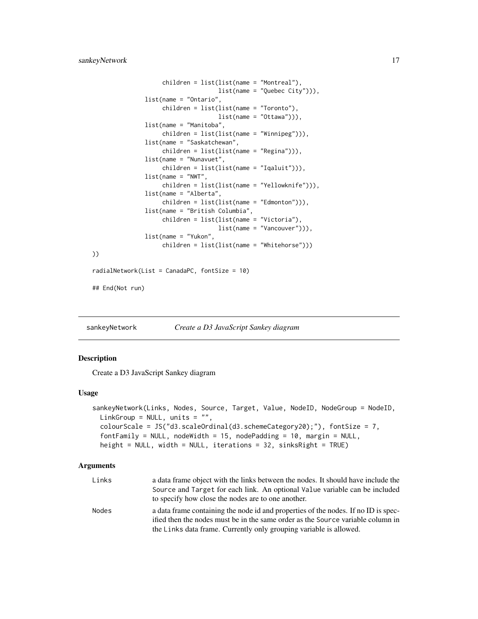```
children = list(list(name = "Montreal"),
                                    list(name = "Quebec City"))),
               list(name = "Ontario",
                    children = list(list(name = "Toronto"),
                                    list(name = "Ottawa"))),
               list(name = "Manitoba",
                    children = list(list(name = "Winnipeg"))),
               list(name = "Saskatchewan",
                    children = list(list(name = "Regina"))),
               list(name = "Nunavuet",
                    children = list(list(name = "Iqaluit"))),
               list(name = "NWT",
                    children = list(list(name = "Yellowknife"))),
               list(name = "Alberta",
                    children = list(list(name = "Edmonton"))),
               list(name = "British Columbia",
                    children = list(list(name = "Victoria"),
                                    list(name = "Vancouver"))),
               list(name = "Yukon",
                    children = list(list(name = "Whitehorse")))
radialNetwork(List = CanadaPC, fontSize = 10)
## End(Not run)
```
sankeyNetwork *Create a D3 JavaScript Sankey diagram*

#### **Description**

))

Create a D3 JavaScript Sankey diagram

#### Usage

```
sankeyNetwork(Links, Nodes, Source, Target, Value, NodeID, NodeGroup = NodeID,
 LinkGroup = NULL, units = "",
 colourScale = JS('d3.scaleOrdinal(d3.schemeCategory20);''), fontSize = 7,
 fontFamily = NULL, nodeWidth = 15, nodePadding = 10, margin = NULL,
 height = NULL, width = NULL, iterations = 32, sinksRight = TRUE)
```

| Links | a data frame object with the links between the nodes. It should have include the   |
|-------|------------------------------------------------------------------------------------|
|       | Source and Target for each link. An optional Value variable can be included        |
|       | to specify how close the nodes are to one another.                                 |
| Nodes | a data frame containing the node id and properties of the nodes. If no ID is spec- |
|       | ified then the nodes must be in the same order as the Source variable column in    |
|       | the Links data frame. Currently only grouping variable is allowed.                 |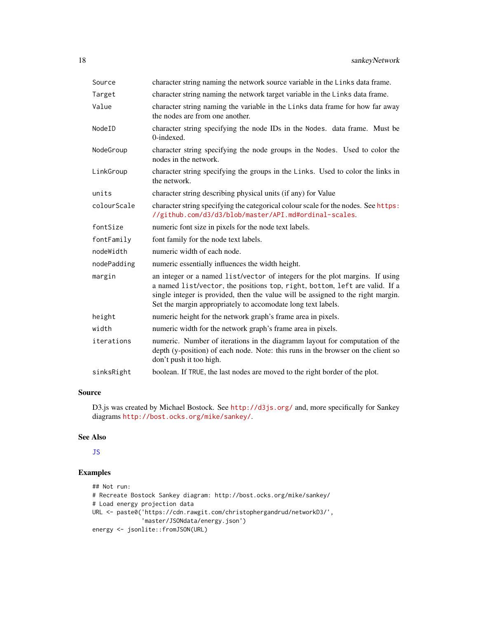<span id="page-17-0"></span>

| character string naming the network source variable in the Links data frame.                                                                                                                                                                                                                                    |
|-----------------------------------------------------------------------------------------------------------------------------------------------------------------------------------------------------------------------------------------------------------------------------------------------------------------|
| character string naming the network target variable in the Links data frame.                                                                                                                                                                                                                                    |
| character string naming the variable in the Links data frame for how far away<br>the nodes are from one another.                                                                                                                                                                                                |
| character string specifying the node IDs in the Nodes. data frame. Must be<br>0-indexed.                                                                                                                                                                                                                        |
| character string specifying the node groups in the Nodes. Used to color the<br>nodes in the network.                                                                                                                                                                                                            |
| character string specifying the groups in the Links. Used to color the links in<br>the network.                                                                                                                                                                                                                 |
| character string describing physical units (if any) for Value                                                                                                                                                                                                                                                   |
| character string specifying the categorical colour scale for the nodes. See https:<br>//github.com/d3/d3/blob/master/API.md#ordinal-scales.                                                                                                                                                                     |
| numeric font size in pixels for the node text labels.                                                                                                                                                                                                                                                           |
| font family for the node text labels.                                                                                                                                                                                                                                                                           |
| numeric width of each node.                                                                                                                                                                                                                                                                                     |
| numeric essentially influences the width height.                                                                                                                                                                                                                                                                |
| an integer or a named list/vector of integers for the plot margins. If using<br>a named list/vector, the positions top, right, bottom, left are valid. If a<br>single integer is provided, then the value will be assigned to the right margin.<br>Set the margin appropriately to accomodate long text labels. |
| numeric height for the network graph's frame area in pixels.                                                                                                                                                                                                                                                    |
| numeric width for the network graph's frame area in pixels.                                                                                                                                                                                                                                                     |
| numeric. Number of iterations in the diagramm layout for computation of the<br>depth (y-position) of each node. Note: this runs in the browser on the client so<br>don't push it too high.                                                                                                                      |
| boolean. If TRUE, the last nodes are moved to the right border of the plot.                                                                                                                                                                                                                                     |
|                                                                                                                                                                                                                                                                                                                 |

D3.js was created by Michael Bostock. See <http://d3js.org/> and, more specifically for Sankey diagrams <http://bost.ocks.org/mike/sankey/>.

## See Also

## [JS](#page-12-1)

```
## Not run:
# Recreate Bostock Sankey diagram: http://bost.ocks.org/mike/sankey/
# Load energy projection data
URL <- paste0('https://cdn.rawgit.com/christophergandrud/networkD3/',
              'master/JSONdata/energy.json')
energy <- jsonlite::fromJSON(URL)
```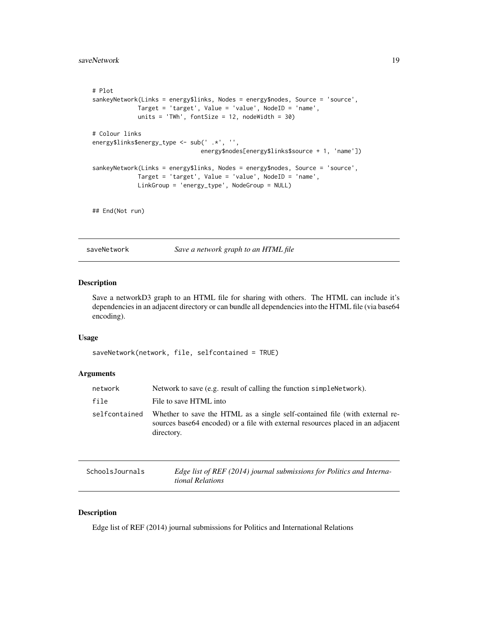```
# Plot
sankeyNetwork(Links = energy$links, Nodes = energy$nodes, Source = 'source',
             Target = 'target', Value = 'value', NodeID = 'name',
            units = 'TWh', fontSize = 12, nodeWidth = 30)
# Colour links
energy$links$energy_type <- sub(' .*', '',
                               energy$nodes[energy$links$source + 1, 'name'])
sankeyNetwork(Links = energy$links, Nodes = energy$nodes, Source = 'source',
             Target = 'target', Value = 'value', NodeID = 'name',
             LinkGroup = 'energy_type', NodeGroup = NULL)
```
## End(Not run)

saveNetwork *Save a network graph to an HTML file*

## Description

Save a networkD3 graph to an HTML file for sharing with others. The HTML can include it's dependencies in an adjacent directory or can bundle all dependencies into the HTML file (via base64 encoding).

#### Usage

```
saveNetwork(network, file, selfcontained = TRUE)
```
## Arguments

| network       | Network to save (e.g. result of calling the function simple Network).                                                                                                         |
|---------------|-------------------------------------------------------------------------------------------------------------------------------------------------------------------------------|
| file          | File to save HTML into                                                                                                                                                        |
| selfcontained | Whether to save the HTML as a single self-contained file (with external re-<br>sources base 64 encoded) or a file with external resources placed in an adjacent<br>directory. |

| SchoolsJournals | Edge list of REF (2014) journal submissions for Politics and Interna- |
|-----------------|-----------------------------------------------------------------------|
|                 | tional Relations                                                      |

## Description

Edge list of REF (2014) journal submissions for Politics and International Relations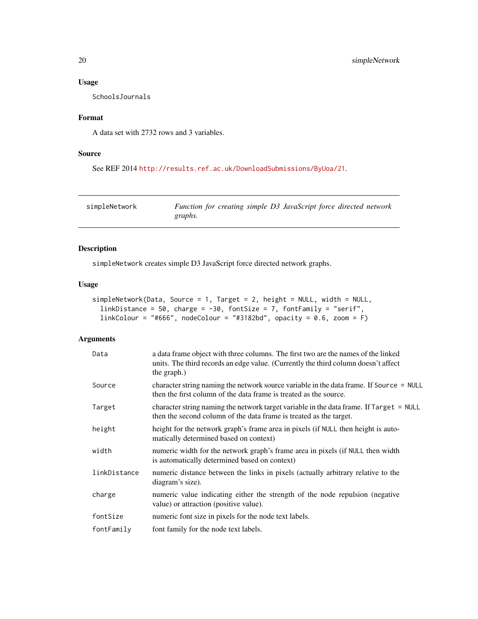## <span id="page-19-0"></span>Usage

SchoolsJournals

## Format

A data set with 2732 rows and 3 variables.

## Source

```
See REF 2014 http://results.ref.ac.uk/DownloadSubmissions/ByUoa/21.
```
simpleNetwork *Function for creating simple D3 JavaScript force directed network graphs.*

## Description

simpleNetwork creates simple D3 JavaScript force directed network graphs.

## Usage

```
simpleNetwork(Data, Source = 1, Target = 2, height = NULL, width = NULL,
 linkDistance = 50, charge = -30, fontSize = 7, fontFamily = "serif",
  linkColor = "#666", nodeColor = "#3182bd", opacity = 0.6, zoom = F)
```

| Data         | a data frame object with three columns. The first two are the names of the linked<br>units. The third records an edge value. (Currently the third column doesn't affect<br>the graph.) |
|--------------|----------------------------------------------------------------------------------------------------------------------------------------------------------------------------------------|
| Source       | character string naming the network source variable in the data frame. If Source = NULL<br>then the first column of the data frame is treated as the source.                           |
| Target       | character string naming the network target variable in the data frame. If Target = NULL<br>then the second column of the data frame is treated as the target.                          |
| height       | height for the network graph's frame area in pixels (if NULL then height is auto-<br>matically determined based on context)                                                            |
| width        | numeric width for the network graph's frame area in pixels (if NULL then width<br>is automatically determined based on context)                                                        |
| linkDistance | numeric distance between the links in pixels (actually arbitrary relative to the<br>diagram's size).                                                                                   |
| charge       | numeric value indicating either the strength of the node repulsion (negative<br>value) or attraction (positive value).                                                                 |
| fontSize     | numeric font size in pixels for the node text labels.                                                                                                                                  |
| fontFamily   | font family for the node text labels.                                                                                                                                                  |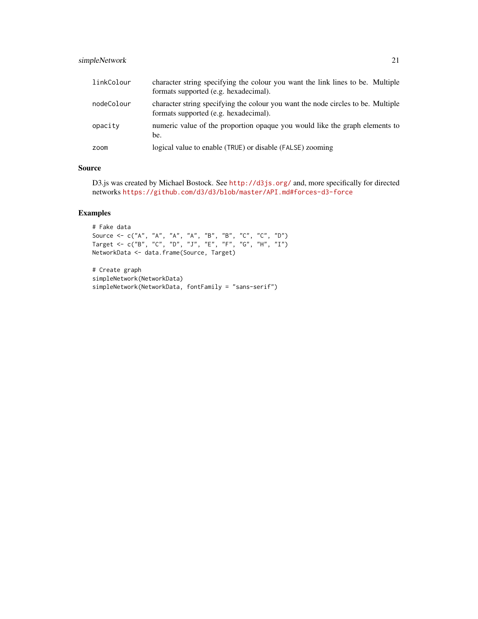## simpleNetwork 21

| linkColour | character string specifying the colour you want the link lines to be. Multiple<br>formats supported (e.g. hexadecimal).   |
|------------|---------------------------------------------------------------------------------------------------------------------------|
| nodeColour | character string specifying the colour you want the node circles to be. Multiple<br>formats supported (e.g. hexadecimal). |
| opacity    | numeric value of the proportion opaque you would like the graph elements to<br>be.                                        |
| zoom       | logical value to enable (TRUE) or disable (FALSE) zooming                                                                 |

## Source

D3.js was created by Michael Bostock. See <http://d3js.org/> and, more specifically for directed networks <https://github.com/d3/d3/blob/master/API.md#forces-d3-force>

```
# Fake data
Source <- c("A", "A", "A", "A", "B", "B", "C", "C", "D")
Target <- c("B", "C", "D", "J", "E", "F", "G", "H", "I")
NetworkData <- data.frame(Source, Target)
```

```
# Create graph
simpleNetwork(NetworkData)
simpleNetwork(NetworkData, fontFamily = "sans-serif")
```